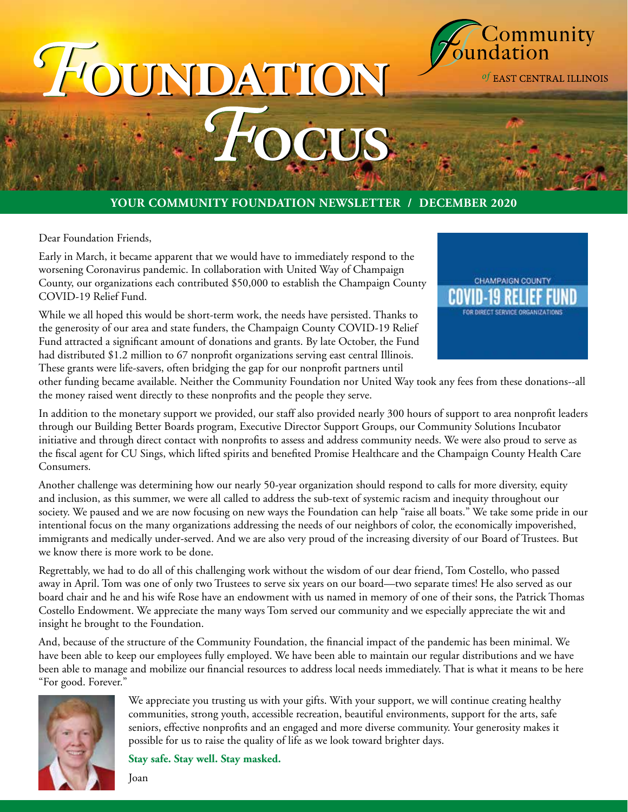

# *F***oundation** *F***oundation** *F***ocus** *F***ocus**

#### **YOUR COMMUNITY FOUNDATION NEWSLETTER / DECEMBER 2020**

Dear Foundation Friends,

Early in March, it became apparent that we would have to immediately respond to the worsening Coronavirus pandemic. In collaboration with United Way of Champaign County, our organizations each contributed \$50,000 to establish the Champaign County COVID-19 Relief Fund.

While we all hoped this would be short-term work, the needs have persisted. Thanks to the generosity of our area and state funders, the Champaign County COVID-19 Relief Fund attracted a significant amount of donations and grants. By late October, the Fund had distributed \$1.2 million to 67 nonprofit organizations serving east central Illinois. These grants were life-savers, often bridging the gap for our nonprofit partners until



other funding became available. Neither the Community Foundation nor United Way took any fees from these donations--all the money raised went directly to these nonprofits and the people they serve.

In addition to the monetary support we provided, our staff also provided nearly 300 hours of support to area nonprofit leaders through our Building Better Boards program, Executive Director Support Groups, our Community Solutions Incubator initiative and through direct contact with nonprofits to assess and address community needs. We were also proud to serve as the fiscal agent for CU Sings, which lifted spirits and benefited Promise Healthcare and the Champaign County Health Care Consumers.

Another challenge was determining how our nearly 50-year organization should respond to calls for more diversity, equity and inclusion, as this summer, we were all called to address the sub-text of systemic racism and inequity throughout our society. We paused and we are now focusing on new ways the Foundation can help "raise all boats." We take some pride in our intentional focus on the many organizations addressing the needs of our neighbors of color, the economically impoverished, immigrants and medically under-served. And we are also very proud of the increasing diversity of our Board of Trustees. But we know there is more work to be done.

Regrettably, we had to do all of this challenging work without the wisdom of our dear friend, Tom Costello, who passed away in April. Tom was one of only two Trustees to serve six years on our board—two separate times! He also served as our board chair and he and his wife Rose have an endowment with us named in memory of one of their sons, the Patrick Thomas Costello Endowment. We appreciate the many ways Tom served our community and we especially appreciate the wit and insight he brought to the Foundation.

And, because of the structure of the Community Foundation, the financial impact of the pandemic has been minimal. We have been able to keep our employees fully employed. We have been able to maintain our regular distributions and we have been able to manage and mobilize our financial resources to address local needs immediately. That is what it means to be here "For good. Forever."



We appreciate you trusting us with your gifts. With your support, we will continue creating healthy communities, strong youth, accessible recreation, beautiful environments, support for the arts, safe seniors, effective nonprofits and an engaged and more diverse community. Your generosity makes it possible for us to raise the quality of life as we look toward brighter days.

**Stay safe. Stay well. Stay masked.**

Joan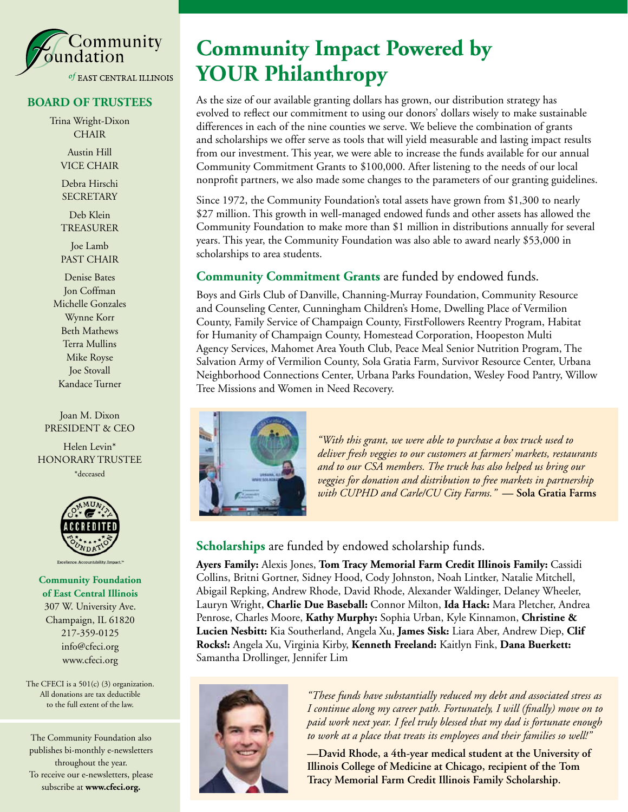

#### **BOARD OF TRUSTEES**

Trina Wright-Dixon **CHAIR** Austin Hill

VICE CHAIR

Debra Hirschi **SECRETARY** 

Deb Klein TREASURER

Joe Lamb PAST CHAIR

Denise Bates Jon Coffman Michelle Gonzales Wynne Korr Beth Mathews Terra Mullins Mike Royse Joe Stovall Kandace Turner

Joan M. Dixon PRESIDENT & CEO

Helen Levin\* HONORARY TRUSTEE \*deceased



**Community Foundation of East Central Illinois** 307 W. University Ave. Champaign, IL 61820 217-359-0125 info@cfeci.org www.cfeci.org

The CFECI is a 501(c) (3) organization. All donations are tax deductible to the full extent of the law.

The Community Foundation also publishes bi-monthly e-newsletters throughout the year. To receive our e-newsletters, please subscribe at **www.cfeci.org.**

## **Community Impact Powered by YOUR Philanthropy**

As the size of our available granting dollars has grown, our distribution strategy has evolved to reflect our commitment to using our donors' dollars wisely to make sustainable differences in each of the nine counties we serve. We believe the combination of grants and scholarships we offer serve as tools that will yield measurable and lasting impact results from our investment. This year, we were able to increase the funds available for our annual Community Commitment Grants to \$100,000. After listening to the needs of our local nonprofit partners, we also made some changes to the parameters of our granting guidelines.

Since 1972, the Community Foundation's total assets have grown from \$1,300 to nearly \$27 million. This growth in well-managed endowed funds and other assets has allowed the Community Foundation to make more than \$1 million in distributions annually for several years. This year, the Community Foundation was also able to award nearly \$53,000 in scholarships to area students.

#### **Community Commitment Grants** are funded by endowed funds.

Boys and Girls Club of Danville, Channing-Murray Foundation, Community Resource and Counseling Center, Cunningham Children's Home, Dwelling Place of Vermilion County, Family Service of Champaign County, FirstFollowers Reentry Program, Habitat for Humanity of Champaign County, Homestead Corporation, Hoopeston Multi Agency Services, Mahomet Area Youth Club, Peace Meal Senior Nutrition Program, The Salvation Army of Vermilion County, Sola Gratia Farm, Survivor Resource Center, Urbana Neighborhood Connections Center, Urbana Parks Foundation, Wesley Food Pantry, Willow Tree Missions and Women in Need Recovery.



*"With this grant, we were able to purchase a box truck used to deliver fresh veggies to our customers at farmers' markets, restaurants and to our CSA members. The truck has also helped us bring our veggies for donation and distribution to free markets in partnership with CUPHD and Carle/CU City Farms."* **— Sola Gratia Farms**

**Scholarships** are funded by endowed scholarship funds.

**Ayers Family:** Alexis Jones, **Tom Tracy Memorial Farm Credit Illinois Family:** Cassidi Collins, Britni Gortner, Sidney Hood, Cody Johnston, Noah Lintker, Natalie Mitchell, Abigail Repking, Andrew Rhode, David Rhode, Alexander Waldinger, Delaney Wheeler, Lauryn Wright, **Charlie Due Baseball:** Connor Milton, **Ida Hack:** Mara Pletcher, Andrea Penrose, Charles Moore, **Kathy Murphy:** Sophia Urban, Kyle Kinnamon, **Christine & Lucien Nesbitt:** Kia Southerland, Angela Xu, **James Sisk:** Liara Aber, Andrew Diep, **Clif Rocks!:** Angela Xu, Virginia Kirby, **Kenneth Freeland:** Kaitlyn Fink, **Dana Buerkett:** Samantha Drollinger, Jennifer Lim



*"These funds have substantially reduced my debt and associated stress as I continue along my career path. Fortunately, I will (finally) move on to paid work next year. I feel truly blessed that my dad is fortunate enough to work at a place that treats its employees and their families so well!"*

**—David Rhode, a 4th-year medical student at the University of Illinois College of Medicine at Chicago, recipient of the Tom Tracy Memorial Farm Credit Illinois Family Scholarship.**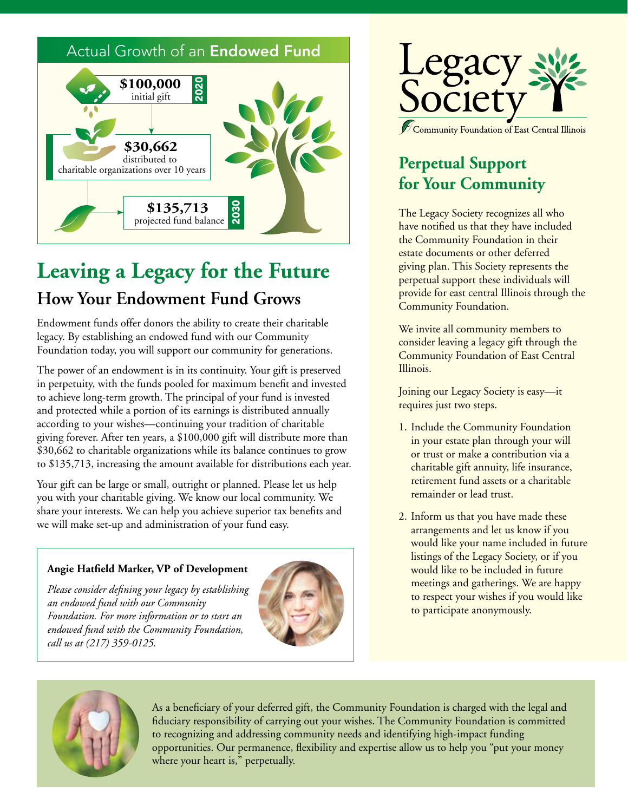

# **Leaving a Legacy for the Future How Your Endowment Fund Grows**

Endowment funds offer donors the ability to create their charitable legacy. By establishing an endowed fund with our Community Foundation today, you will support our community for generations.

The power of an endowment is in its continuity. Your gift is preserved in perpetuity, with the funds pooled for maximum benefit and invested to achieve long-term growth. The principal of your fund is invested and protected while a portion of its earnings is distributed annually according to your wishes—continuing your tradition of charitable giving forever. After ten years, a \$100,000 gift will distribute more than \$30,662 to charitable organizations while its balance continues to grow to \$135,713, increasing the amount available for distributions each year.

Your gift can be large or small, outright or planned. Please let us help you with your charitable giving. We know our local community. We share your interests. We can help you achieve superior tax benefits and we will make set-up and administration of your fund easy.

#### **Angie Hatfield Marker, VP of Development**

*Please consider defining your legacy by establishing an endowed fund with our Community Foundation. For more information or to start an endowed fund with the Community Foundation, call us at (217) 359-0125.*





## **Perpetual Support for Your Community**

The Legacy Society recognizes all who have notified us that they have included the Community Foundation in their estate documents or other deferred giving plan. This Society represents the perpetual support these individuals will provide for east central Illinois through the Community Foundation.

We invite all community members to consider leaving a legacy gift through the Community Foundation of East Central Illinois.

Joining our Legacy Society is easy—it requires just two steps.

- 1. Include the Community Foundation in your estate plan through your will or trust or make a contribution via a charitable gift annuity, life insurance, retirement fund assets or a charitable remainder or lead trust.
- 2. Inform us that you have made these arrangements and let us know if you would like your name included in future listings of the Legacy Society, or if you would like to be included in future meetings and gatherings. We are happy to respect your wishes if you would like to participate anonymously.



As a beneficiary of your deferred gift, the Community Foundation is charged with the legal and fiduciary responsibility of carrying out your wishes. The Community Foundation is committed to recognizing and addressing community needs and identifying high-impact funding opportunities. Our permanence, flexibility and expertise allow us to help you "put your money where your heart is," perpetually.